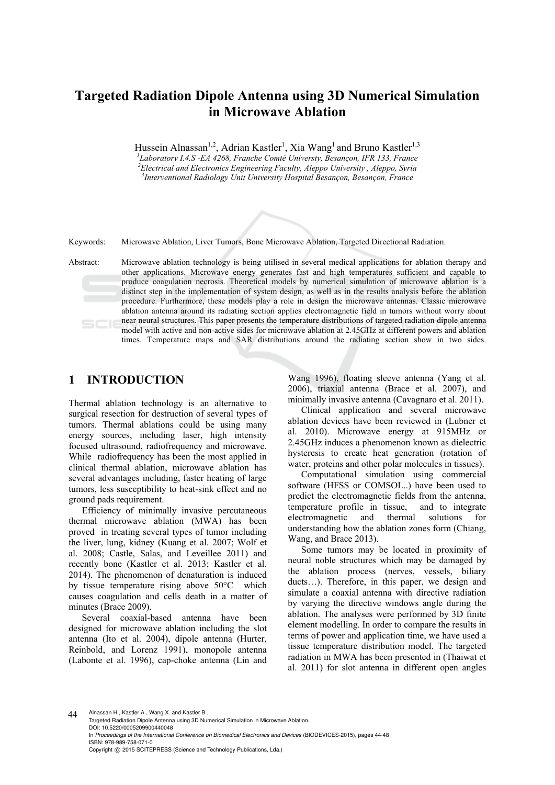# **Targeted Radiation Dipole Antenna using 3D Numerical Simulation in Microwave Ablation**

Hussein Alnassan<sup>1,2</sup>, Adrian Kastler<sup>1</sup>, Xia Wang<sup>1</sup> and Bruno Kastler<sup>1,3</sup>

*1 Laboratory I.4.S -EA 4268, Franche Comté Universty, Besançon, IFR 133, France 2 Electrical and Electronics Engineering Faculty, Aleppo University , Aleppo, Syria 3 Interventional Radiology Unit University Hospital Besançon, Besançon, France* 



Keywords: Microwave Ablation, Liver Tumors, Bone Microwave Ablation, Targeted Directional Radiation.

Abstract: Microwave ablation technology is being utilised in several medical applications for ablation therapy and other applications. Microwave energy generates fast and high temperatures sufficient and capable to produce coagulation necrosis. Theoretical models by numerical simulation of microwave ablation is a distinct step in the implementation of system design, as well as in the results analysis before the ablation procedure. Furthermore, these models play a role in design the microwave antennas. Classic microwave ablation antenna around its radiating section applies electromagnetic field in tumors without worry about near neural structures. This paper presents the temperature distributions of targeted radiation dipole antenna model with active and non-active sides for microwave ablation at 2.45GHz at different powers and ablation times. Temperature maps and SAR distributions around the radiating section show in two sides.

# **1 INTRODUCTION**

Thermal ablation technology is an alternative to surgical resection for destruction of several types of tumors. Thermal ablations could be using many energy sources, including laser, high intensity focused ultrasound, radiofrequency and microwave. While radiofrequency has been the most applied in clinical thermal ablation, microwave ablation has several advantages including, faster heating of large tumors, less susceptibility to heat-sink effect and no ground pads requirement.

Efficiency of minimally invasive percutaneous thermal microwave ablation (MWA) has been proved in treating several types of tumor including the liver, lung, kidney (Kuang et al. 2007; Wolf et al. 2008; Castle, Salas, and Leveillee 2011) and recently bone (Kastler et al. 2013; Kastler et al. 2014). The phenomenon of denaturation is induced by tissue temperature rising above 50°C which causes coagulation and cells death in a matter of minutes (Brace 2009).

Several coaxial-based antenna have been designed for microwave ablation including the slot antenna (Ito et al. 2004), dipole antenna (Hurter, Reinbold, and Lorenz 1991), monopole antenna (Labonte et al. 1996), cap-choke antenna (Lin and Wang 1996), floating sleeve antenna (Yang et al. 2006), triaxial antenna (Brace et al. 2007), and minimally invasive antenna (Cavagnaro et al. 2011).

Clinical application and several microwave ablation devices have been reviewed in (Lubner et al. 2010). Microwave energy at 915MHz or 2.45GHz induces a phenomenon known as dielectric hysteresis to create heat generation (rotation of water, proteins and other polar molecules in tissues).

Computational simulation using commercial software (HFSS or COMSOL..) have been used to predict the electromagnetic fields from the antenna, temperature profile in tissue, and to integrate electromagnetic and thermal solutions for understanding how the ablation zones form (Chiang, Wang, and Brace 2013).

Some tumors may be located in proximity of neural noble structures which may be damaged by the ablation process (nerves, vessels, biliary ducts…). Therefore, in this paper, we design and simulate a coaxial antenna with directive radiation by varying the directive windows angle during the ablation. The analyses were performed by 3D finite element modelling. In order to compare the results in terms of power and application time, we have used a tissue temperature distribution model. The targeted radiation in MWA has been presented in (Thaiwat et al. 2011) for slot antenna in different open angles

A<sub>4</sub> Alnassan H., Kastler A., Wang X. and Kastler B. Targeted Radiation Dipole Antenna using 3D Numerical Simulation in Microwave Ablation. DOI: 10.5220/0005209900440048 In *Proceedings of the International Conference on Biomedical Electronics and Devices* (BIODEVICES-2015), pages 44-48 ISBN: 978-989-758-071-0 Copyright © 2015 SCITEPRESS (Science and Technology Publications, Lda.)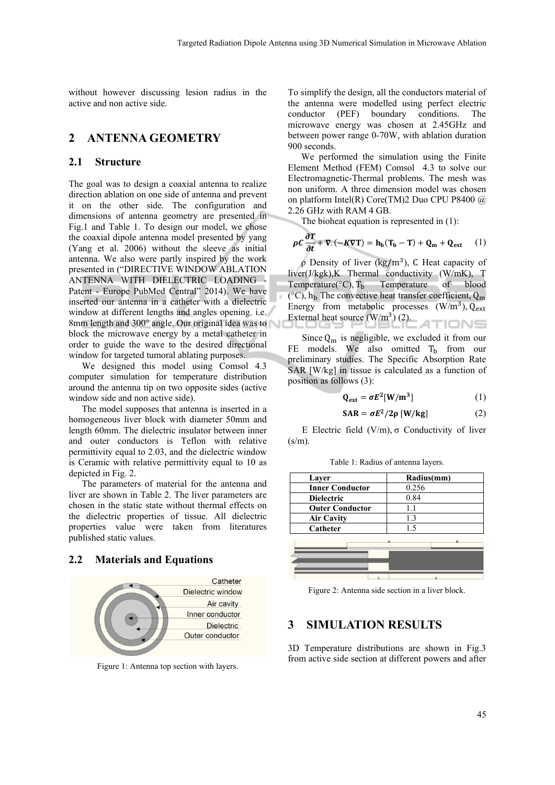without however discussing lesion radius in the active and non active side.

## **2 ANTENNA GEOMETRY**

#### **2.1 Structure**

The goal was to design a coaxial antenna to realize direction ablation on one side of antenna and prevent it on the other side. The configuration and dimensions of antenna geometry are presented in Fig.1 and Table 1. To design our model, we chose the coaxial dipole antenna model presented by yang (Yang et al. 2006) without the sleeve as initial antenna. We also were partly inspired by the work presented in ("DIRECTIVE WINDOW ABLATION ANTENNA WITH DIELECTRIC LOADING - Patent - Europe PubMed Central" 2014). We have inserted our antenna in a catheter with a dielectric window at different lengths and angles opening. i.e. 8mm length and 300° angle. Our original idea was to block the microwave energy by a metal catheter in order to guide the wave to the desired directional window for targeted tumoral ablating purposes.

We designed this model using Comsol 4.3 computer simulation for temperature distribution around the antenna tip on two opposite sides (active window side and non active side).

The model supposes that antenna is inserted in a homogeneous liver block with diameter 50mm and length 60mm. The dielectric insulator between inner and outer conductors is Teflon with relative permittivity equal to 2.03, and the dielectric window is Ceramic with relative permittivity equal to 10 as depicted in Fig. 2.

The parameters of material for the antenna and liver are shown in Table 2. The liver parameters are chosen in the static state without thermal effects on the dielectric properties of tissue. All dielectric properties value were taken from literatures published static values.

#### **2.2 Materials and Equations**



Figure 1: Antenna top section with layers.

To simplify the design, all the conductors material of the antenna were modelled using perfect electric conductor (PEF) boundary conditions. The microwave energy was chosen at 2.45GHz and between power range 0-70W, with ablation duration 900 seconds.

We performed the simulation using the Finite Element Method (FEM) Comsol 4.3 to solve our Electromagnetic-Thermal problems. The mesh was non uniform. A three dimension model was chosen on platform Intel(R) Core(TM)2 Duo CPU P8400 @ 2.26 GHz with RAM 4 GB.

The bioheat equation is represented in (1):

$$
\rho C \frac{\partial T}{\partial t} + \nabla \cdot (-K \nabla T) = \mathbf{h}_{b} (T_{b} - T) + \mathbf{Q}_{m} + \mathbf{Q}_{ext} \qquad (1)
$$

ρ Density of liver (kg/m<sup>3</sup>), C Heat capacity of liver(J/kgk),K Thermal conductivity (W/mK), T Temperature( ${}^{\circ}$ C),  $T_b$  Temperature of blood ( $^{\circ}$ C),  $h_h$  The convective heat transfer coefficient, Q<sub>m</sub> Energy from metabolic processes  $(W/m^3)$ ,  $Q_{ext}$ External heat source  $(W/m^3)$  (2).

Since  $Q_m$  is negligible, we excluded it from our FE models. We also omitted  $T_b$  from our preliminary studies. The Specific Absorption Rate SAR [W/kg] in tissue is calculated as a function of position as follows (3):

$$
Q_{ext} = \sigma E^2 [W/m^3]
$$
 (1)

$$
SAR = \sigma E^2 / 2\rho [W/kg]
$$
 (2)

E Electric field  $(V/m)$ ,  $\sigma$  Conductivity of liver  $(s/m)$ .

|  |  |  |  | Table 1: Radius of antenna layers. |  |
|--|--|--|--|------------------------------------|--|
|--|--|--|--|------------------------------------|--|

| Layer                  | Radius(mm) |
|------------------------|------------|
| <b>Inner Conductor</b> | 0.256      |
| <b>Dielectric</b>      | 0.84       |
| <b>Outer Conductor</b> | 11         |
| <b>Air Cavity</b>      | 1.3        |
| Catheter               | 1.5        |
|                        |            |
|                        |            |
|                        |            |
|                        |            |

Figure 2: Antenna side section in a liver block.

### **3 SIMULATION RESULTS**

3D Temperature distributions are shown in Fig.3 from active side section at different powers and after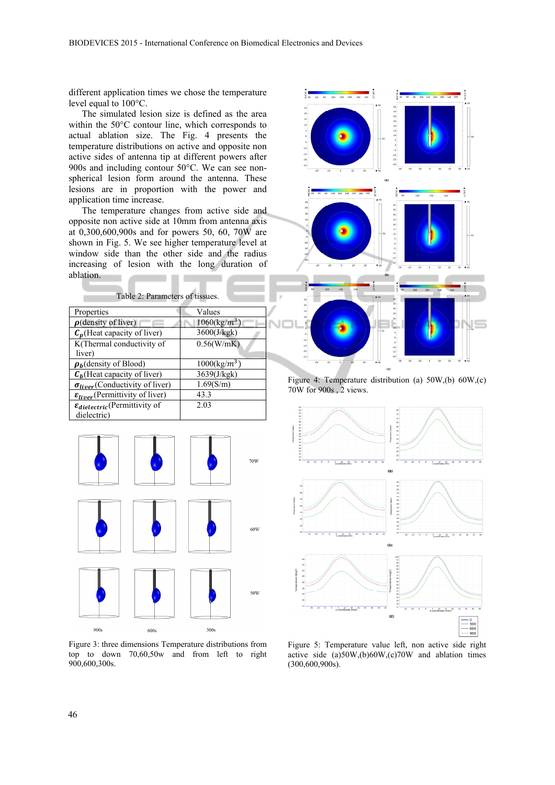different application times we chose the temperature level equal to 100°C.

The simulated lesion size is defined as the area within the 50°C contour line, which corresponds to actual ablation size. The Fig. 4 presents the temperature distributions on active and opposite non active sides of antenna tip at different powers after 900s and including contour 50°C. We can see nonspherical lesion form around the antenna. These lesions are in proportion with the power and application time increase.

The temperature changes from active side and opposite non active side at 10mm from antenna axis at 0,300,600,900s and for powers 50, 60, 70W are shown in Fig. 5. We see higher temperature level at window side than the other side and the radius increasing of lesion with the long duration of ablation.

| Table 2: Parameters of tissues.               |                       |  |  |  |
|-----------------------------------------------|-----------------------|--|--|--|
| Properties                                    | Values                |  |  |  |
| $\rho$ (density of liver)                     | $1060(\text{kg}/m^3)$ |  |  |  |
| $C_n$ (Heat capacity of liver)                | 3600(J/kgk)           |  |  |  |
| K(Thermal conductivity of                     | 0.56(W/mK)            |  |  |  |
| liver)                                        |                       |  |  |  |
| $\rho_h$ (density of Blood)                   | $1000(\text{kg}/m^3)$ |  |  |  |
| $C_b$ (Heat capacity of liver)                | 3639(J/kgk)           |  |  |  |
| $\sigma_{liver}$ (Conductivity of liver)      | 1.69(S/m)             |  |  |  |
| $\varepsilon_{liver}$ (Permittivity of liver) | 43.3                  |  |  |  |
| $\varepsilon_{dielectric}$ (Permittivity of   | 2.03                  |  |  |  |
| dielectric)                                   |                       |  |  |  |



Figure 3: three dimensions Temperature distributions from top to down 70,60,50w and from left to right 900,600,300s.



Figure 4: Temperature distribution (a) 50W,(b) 60W,(c) 70W for 900s , 2 views.



Figure 5: Temperature value left, non active side right active side (a)50W,(b)60W,(c)70W and ablation times (300,600,900s).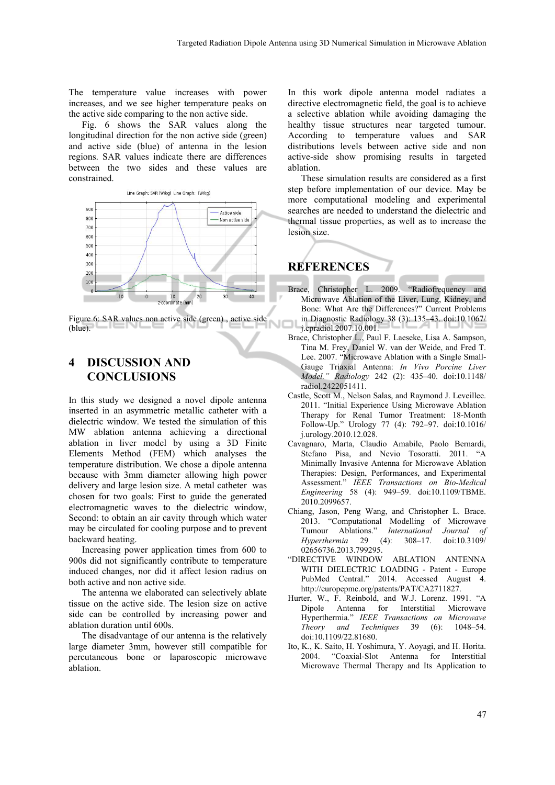The temperature value increases with power increases, and we see higher temperature peaks on the active side comparing to the non active side.

Fig. 6 shows the SAR values along the longitudinal direction for the non active side (green) and active side (blue) of antenna in the lesion regions. SAR values indicate there are differences between the two sides and these values are constrained.



Figure 6: SAR values non active side (green) , active side (blue).

# **4 DISCUSSION AND CONCLUSIONS**

In this study we designed a novel dipole antenna inserted in an asymmetric metallic catheter with a dielectric window. We tested the simulation of this MW ablation antenna achieving a directional ablation in liver model by using a 3D Finite Elements Method (FEM) which analyses the temperature distribution. We chose a dipole antenna because with 3mm diameter allowing high power delivery and large lesion size. A metal catheter was chosen for two goals: First to guide the generated electromagnetic waves to the dielectric window, Second: to obtain an air cavity through which water may be circulated for cooling purpose and to prevent backward heating.

Increasing power application times from 600 to 900s did not significantly contribute to temperature induced changes, nor did it affect lesion radius on both active and non active side.

The antenna we elaborated can selectively ablate tissue on the active side. The lesion size on active side can be controlled by increasing power and ablation duration until 600s.

The disadvantage of our antenna is the relatively large diameter 3mm, however still compatible for percutaneous bone or laparoscopic microwave ablation.

In this work dipole antenna model radiates a directive electromagnetic field, the goal is to achieve a selective ablation while avoiding damaging the healthy tissue structures near targeted tumour. According to temperature values and SAR distributions levels between active side and non active-side show promising results in targeted ablation.

These simulation results are considered as a first step before implementation of our device. May be more computational modeling and experimental searches are needed to understand the dielectric and thermal tissue properties, as well as to increase the lesion size.

# **REFERENCES**

- Brace, Christopher L. 2009. "Radiofrequency and Microwave Ablation of the Liver, Lung, Kidney, and Bone: What Are the Differences?" Current Problems in Diagnostic Radiology 38 (3): 135–43. doi:10.1067/ j.cpradiol.2007.10.001.
- Brace, Christopher L., Paul F. Laeseke, Lisa A. Sampson, Tina M. Frey, Daniel W. van der Weide, and Fred T. Lee. 2007. "Microwave Ablation with a Single Small-Gauge Triaxial Antenna: *In Vivo Porcine Liver Model." Radiology* 242 (2): 435–40. doi:10.1148/ model. Radiology
- Castle, Scott M., Nelson Salas, and Raymond J. Leveillee. 2011. "Initial Experience Using Microwave Ablation Therapy for Renal Tumor Treatment: 18-Month Follow-Up." Urology 77 (4): 792–97. doi:10.1016/ j.urology.2010.12.028.
- Cavagnaro, Marta, Claudio Amabile, Paolo Bernardi, Stefano Pisa, and Nevio Tosoratti. 2011. "A Minimally Invasive Antenna for Microwave Ablation Therapies: Design, Performances, and Experimental Assessment." *IEEE Transactions on Bio-Medical Engineering* 58 (4): 949–59. doi:10.1109/TBME. 2010.2099657.
- Chiang, Jason, Peng Wang, and Christopher L. Brace. 2013. "Computational Modelling of Microwave Tumour Ablations." *International Journal of Hyperthermia* 29 (4): 308–17. doi:10.3109/ 02656736.2013.799295.
- "DIRECTIVE WINDOW ABLATION ANTENNA WITH DIELECTRIC LOADING - Patent - Europe PubMed Central." 2014. Accessed August 4. http://europepmc.org/patents/PAT/CA2711827.
- Hurter, W., F. Reinbold, and W.J. Lorenz. 1991. "A Dipole Antenna for Interstitial Microwave Hyperthermia." *IEEE Transactions on Microwave Theory and Techniques* 39 (6): 1048–54. doi:10.1109/22.81680.
- Ito, K., K. Saito, H. Yoshimura, Y. Aoyagi, and H. Horita. 2004. "Coaxial-Slot Antenna for Interstitial Microwave Thermal Therapy and Its Application to